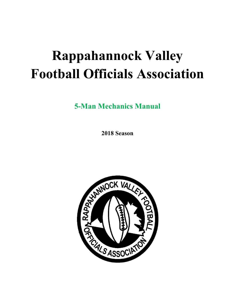# **Rappahannock Valley Football Officials Association**

**5-Man Mechanics Manual** 

**2018 Season** 

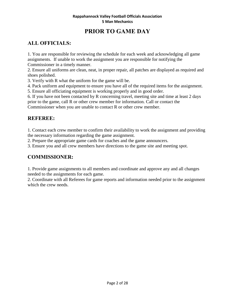# **PRIOR TO GAME DAY**

# **ALL OFFICIALS:**

1. You are responsible for reviewing the schedule for each week and acknowledging all game assignments. If unable to work the assignment you are responsible for notifying the Commissioner in a timely manner.

2. Ensure all uniforms are clean, neat, in proper repair, all patches are displayed as required and shoes polished.

3. Verify with R what the uniform for the game will be.

4. Pack uniform and equipment to ensure you have all of the required items for the assignment.

5. Ensure all officiating equipment is working properly and in good order.

6. If you have not been contacted by R concerning travel, meeting site and time at least 2 days prior to the game, call R or other crew member for information. Call or contact the Commissioner when you are unable to contact R or other crew member.

#### **REFEREE:**

1. Contact each crew member to confirm their availability to work the assignment and providing the necessary information regarding the game assignment.

2. Prepare the appropriate game cards for coaches and the game announcers.

3. Ensure you and all crew members have directions to the game site and meeting spot.

#### **COMMISSIONER:**

1. Provide game assignments to all members and coordinate and approve any and all changes needed to the assignments for each game.

2. Coordinate with all Referees for game reports and information needed prior to the assignment which the crew needs.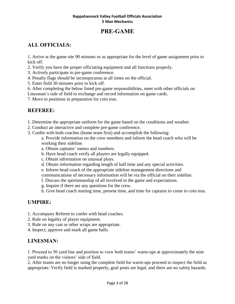# **PRE-GAME**

# **ALL OFFICIALS:**

1. Arrive at the game site 90 minutes or as appropriate for the level of game assignment prior to kick off.

- 2. Verify you have the proper officiating equipment and all functions properly.
- 3. Actively participate in pre-game conference.
- 4. Penalty flags should be inconspicuous at all times on the official.
- 5. Enter field 30 minutes prior to kick off.
- 6. After completing the below listed pre-game responsibilities, meet with other officials on

Linesman's side of field to exchange and record information on game cards.

7. Move to positions in preparation for coin toss.

## **REFEREE:**

- 1. Determine the appropriate uniform for the game based on the conditions and weather.
- 2. Conduct an interactive and complete pre-game conference.
- 3. Confer with both coaches (home team first) and accomplish the following:
	- a. Provide information on the crew members and inform the head coach who will be working their sideline.
	- a. Obtain captains' names and numbers.
	- b. Have head coach verify all players are legally equipped.
	- c. Obtain information on unusual plays.
	- d. Obtain information regarding length of half time and any special activities.
	- e. Inform head coach of the appropriate sideline management directions and
	- communications of necessary information will be via the official on their sideline.
	- f. Discuss the sportsmanship of all involved in the game and expectations.
	- g. Inquire if there are any questions for the crew.
	- h. Give head coach starting time, present time, and time for captains to come to coin toss.

# **UMPIRE:**

- 1. Accompany Referee to confer with head coaches.
- 2. Rule on legality of player equipment.
- 3. Rule on any cast or other wraps are appropriate.
- 4. Inspect, approve and mark all game balls.

# **LINESMAN:**

1. Proceed to 50 yard line and position to view both teams' warm-ups at approximately the nine yard marks on the visitors' side of field.

2. After teams are no longer using the complete field for warm-ups proceed to inspect the field as appropriate. Verify field is marked properly, goal posts are legal, and there are no safety hazards.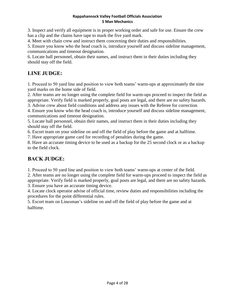3. Inspect and verify all equipment is in proper working order and safe for use. Ensure the crew has a clip and the chains have tape to mark the five yard mark.

4. Meet with chain crew and instruct them concerning their duties and responsibilities.

5. Ensure you know who the head coach is, introduce yourself and discuss sideline management, communications and timeout designation.

6. Locate ball personnel, obtain their names, and instruct them in their duties including they should stay off the field.

# **LINE JUDGE:**

1. Proceed to 50 yard line and position to view both teams' warm-ups at approximately the nine yard marks on the home side of field.

2. After teams are no longer using the complete field for warm-ups proceed to inspect the field as appropriate. Verify field is marked properly, goal posts are legal, and there are no safety hazards.

3. Advise crew about field conditions and address any issues with the Referee for correction.

4. Ensure you know who the head coach is, introduce yourself and discuss sideline management, communications and timeout designation.

5. Locate ball personnel, obtain their names, and instruct them in their duties including they should stay off the field.

6. Escort team on your sideline on and off the field of play before the game and at halftime.

7. Have appropriate game card for recording of penalties during the game.

8. Have an accurate timing device to be used as a backup for the 25 second clock or as a backup to the field clock.

# **BACK JUDGE:**

1. Proceed to 50 yard line and position to view both teams' warm-ups at center of the field.

2. After teams are no longer using the complete field for warm-ups proceed to inspect the field as appropriate. Verify field is marked properly, goal posts are legal, and there are no safety hazards.

3. Ensure you have an accurate timing device.

4. Locate clock operator advise of official time, review duties and responsibilities including the procedures for the point differential rules.

5. Escort team on Linesman's sideline on and off the field of play before the game and at halftime.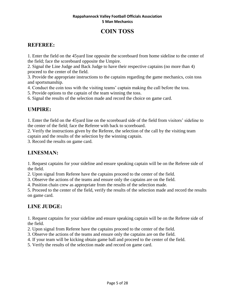# **COIN TOSS**

#### **REFEREE:**

1. Enter the field on the 45yard line opposite the scoreboard from home sideline to the center of the field; face the scoreboard opposite the Umpire.

2. Signal the Line Judge and Back Judge to have their respective captains (no more than 4) proceed to the center of the field.

3. Provide the appropriate instructions to the captains regarding the game mechanics, coin toss and sportsmanship.

4. Conduct the coin toss with the visiting teams' captain making the call before the toss.

5. Provide options to the captain of the team winning the toss.

6. Signal the results of the selection made and record the choice on game card.

## **UMPIRE:**

1. Enter the field on the 45yard line on the scoreboard side of the field from visitors' sideline to the center of the field; face the Referee with back to scoreboard.

2. Verify the instructions given by the Referee, the selection of the call by the visiting team captain and the results of the selection by the winning captain.

3. Record the results on game card.

## **LINESMAN:**

1. Request captains for your sideline and ensure speaking captain will be on the Referee side of the field.

2. Upon signal from Referee have the captains proceed to the center of the field.

3. Observe the actions of the teams and ensure only the captains are on the field.

4. Position chain crew as appropriate from the results of the selection made.

5. Proceed to the center of the field, verify the results of the selection made and record the results on game card.

## **LINE JUDGE:**

1. Request captains for your sideline and ensure speaking captain will be on the Referee side of the field.

2. Upon signal from Referee have the captains proceed to the center of the field.

3. Observe the actions of the teams and ensure only the captains are on the field.

4. If your team will be kicking obtain game ball and proceed to the center of the field.

5. Verify the results of the selection made and record on game card.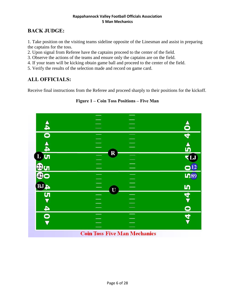## **BACK JUDGE:**

1. Take position on the visiting teams sideline opposite of the Linesman and assist in preparing the captains for the toss.

2. Upon signal from Referee have the captains proceed to the center of the field.

3. Observe the actions of the teams and ensure only the captains are on the field.

4. If your team will be kicking obtain game ball and proceed to the center of the field.

5. Verify the results of the selection made and record on game card.

## **ALL OFFICIALS:**

Receive final instructions from the Referee and proceed sharply to their positions for the kickoff.

**Figure 1 – Coin Toss Positions – Five Man** 

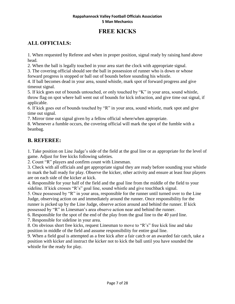# **FREE KICKS**

# **ALL OFFICIALS:**

1. When requested by Referee and when in proper position, signal ready by raising hand above head.

2. When the ball is legally touched in your area start the clock with appropriate signal.

3. The covering official should see the ball in possession of runner who is down or whose forward progress is stopped or ball out of bounds before sounding his whistle.

4. If ball becomes dead in your area, sound whistle, mark spot of forward progress and give timeout signal.

5. If kick goes out of bounds untouched, or only touched by "K" in your area, sound whistle, throw flag on spot where ball went out of bounds for kick infraction, and give time out signal, if applicable.

6. If kick goes out of bounds touched by "R" in your area, sound whistle, mark spot and give time out signal.

7. Mirror time out signal given by a fellow official where/when appropriate.

8. Whenever a fumble occurs, the covering official will mark the spot of the fumble with a beanbag.

#### **B. REFEREE:**

1. Take position on Line Judge's side of the field at the goal line or as appropriate for the level of game. Adjust for free kicks following safeties.

2. Count "R" players and confirm count with Linesman.

3. Check with all officials and get appropriate signal they are ready before sounding your whistle to mark the ball ready for play. Observe the kicker, other activity and ensure at least four players are on each side of the kicker at kick.

4. Responsible for your half of the field and the goal line from the middle of the field to your sideline. If kick crosses "R's" goal line, sound whistle and give touchback signal.

5. Once possessed by "R" in your area, responsible for the runner until turned over to the Line Judge, observing action on and immediately around the runner. Once responsibility for the runner is picked up by the Line Judge, observe action around and behind the runner. If kick possessed by "R" in Linesman's area observe action near and behind the runner.

6. Responsible for the spot of the end of the play from the goal line to the 40 yard line.

7. Responsible for sideline in your area.

8. On obvious short free kicks, request Linesman to move to "R's" free kick line and take position in middle of the field and assume responsibility for entire goal line.

9. When a field goal is attempted as a free kick after a fair catch or an awarded fair catch, take a position with kicker and instruct the kicker not to kick the ball until you have sounded the whistle for the ready for play.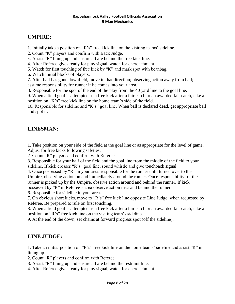#### **UMPIRE:**

1. Initially take a position on "R's" free kick line on the visiting teams' sideline.

2. Count "K" players and confirm with Back Judge.

3. Assist "R" lining up and ensure all are behind the free kick line.

4. After Referee gives ready for play signal, watch for encroachment.

5. Watch for first touching of free kick by "K" and mark spot with beanbag.

6. Watch initial blocks of players.

7. After ball has gone downfield, move in that direction; observing action away from ball; assume responsibility for runner if he comes into your area.

8. Responsible for the spot of the end of the play from the 40 yard line to the goal line.

9. When a field goal is attempted as a free kick after a fair catch or an awarded fair catch, take a position on "K's" free kick line on the home team's side of the field.

10. Responsible for sideline and "K's" goal line. When ball is declared dead, get appropriate ball and spot it.

#### **LINESMAN:**

1. Take position on your side of the field at the goal line or as appropriate for the level of game. Adjust for free kicks following safeties.

2. Count "R" players and confirm with Referee.

3. Responsible for your half of the field and the goal line from the middle of the field to your sideline. If kick crosses "R's" goal line, sound whistle and give touchback signal.

4. Once possessed by "R" in your area, responsible for the runner until turned over to the Umpire, observing action on and immediately around the runner. Once responsibility for the runner is picked up by the Umpire, observe action around and behind the runner. If kick possessed by "R" in Referee's area observe action near and behind the runner.

6. Responsible for sideline in your area.

7. On obvious short kicks, move to "R's" free kick line opposite Line Judge, when requested by Referee. Be prepared to rule on first touching.

8. When a field goal is attempted as a free kick after a fair catch or an awarded fair catch, take a position on "R's" free kick line on the visiting team's sideline.

9. At the end of the down, set chains at forward progress spot (off the sideline).

#### **LINE JUDGE:**

1. Take an initial position on "R's" free kick line on the home teams' sideline and assist "R" in lining up.

2. Count "R" players and confirm with Referee.

3. Assist "R" lining up and ensure all are behind the restraint line.

4. After Referee gives ready for play signal, watch for encroachment.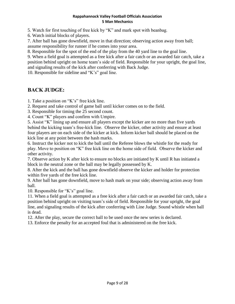5. Watch for first touching of free kick by "K" and mark spot with beanbag.

6. Watch initial blocks of players.

7. After ball has gone downfield, move in that direction; observing action away from ball; assume responsibility for runner if he comes into your area.

8. Responsible for the spot of the end of the play from the 40 yard line to the goal line.

9. When a field goal is attempted as a free kick after a fair catch or an awarded fair catch, take a position behind upright on home team's side of field. Responsible for your upright, the goal line, and signaling results of the kick after conferring with Back Judge.

10. Responsible for sideline and "K's" goal line.

#### **BACK JUDGE:**

1. Take a position on "K's" free kick line.

2. Request and take control of game ball until kicker comes on to the field.

3. Responsible for timing the 25 second count.

4. Count "K" players and confirm with Umpire.

5. Assist "K" lining up and ensure all players except the kicker are no more than five yards behind the kicking team's free-kick line. Observe the kicker, other activity and ensure at least four players are on each side of the kicker at kick. Inform kicker ball should be placed on the kick line at any point between the hash marks.

6. Instruct the kicker not to kick the ball until the Referee blows the whistle for the ready for play. Move to position on "K" free kick line on the home side of field. Observe the kicker and other activity.

7. Observe action by K after kick to ensure no blocks are initiated by K until R has initiated a block in the neutral zone or the ball may be legally possessed by K.

8. After the kick and the ball has gone downfield observe the kicker and holder for protection within five yards of the free kick line.

9. After ball has gone downfield, move to hash mark on your side; observing action away from ball.

10. Responsible for "K's" goal line.

11. When a field goal is attempted as a free kick after a fair catch or an awarded fair catch, take a position behind upright on visiting team's side of field. Responsible for your upright, the goal line, and signaling results of the kick after conferring with Line Judge. Sound whistle when ball is dead.

12. After the play, secure the correct ball to be used once the new series is declared.

13. Enforce the penalty for an accepted foul that is administered on the free kick.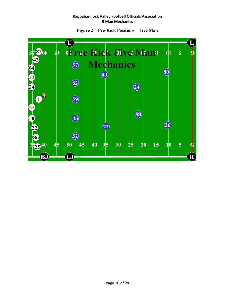

**Figure 2 – Pre-Kick Positions – Five Man**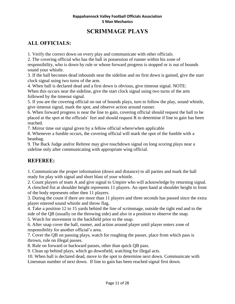# **SCRIMMAGE PLAYS**

## **ALL OFFICIALS:**

1. Verify the correct down on every play and communicate with other officials.

2. The covering official who has the ball in possession of runner within his zone of responsibility, who is down by rule or whose forward progress is stopped or is out of bounds sound your whistle.

3. If the ball becomes dead inbounds near the sideline and no first down is gained, give the start clock signal using two turns of the arm.

4. When ball is declared dead and a first down is obvious, give timeout signal. NOTE: When this occurs near the sideline, give the start clock signal using two turns of the arm followed by the timeout signal.

5. If you are the covering official on out of bounds plays, turn to follow the play, sound whistle, give timeout signal, mark the spot, and observe action around runner.

6. When forward progress is near the line to gain, covering official should request the ball to be placed at the spot at the officials' feet and should request R to determine if line to gain has been reached.

7. Mirror time out signal given by a fellow official where/when applicable

8. Whenever a fumble occurs, the covering official will mark the spot of the fumble with a beanbag.

9. The Back Judge and/or Referee may give touchdown signal on long scoring plays near a sideline only after communicating with appropriate wing official.

#### **REFEREE:**

1. Communicate the proper information (down and distance) to all parties and mark the ball ready for play with signal and short blast of your whistle.

2. Count players of team A and give signal to Umpire who will acknowledge by returning signal. A clenched fist at shoulder height represents 11 players. An open hand at shoulder height in front of the body represents other then 11 players.

3. During the count if there are more than 11 players and three seconds has passed since the extra player entered sound whistle and throw flag.

4. Take a position 12 to 15 yards behind the line of scrimmage, outside the tight end and to the side of the QB (usually on the throwing side) and also in a position to observe the snap.

5. Watch for movement in the backfield prior to the snap.

6. After snap cover the ball, runner, and action around player until player enters zone of responsibility for another official's area.

7. Cover the QB on passing plays, watch for roughing the passer, place from which pass is thrown, rule on illegal passes.

8. Rule on forward or backward passes, other than quick QB pass.

9. Clean up behind plays, which go downfield, watching for illegal acts.

10. When ball is declared dead, move to the spot to determine next down. Communicate with Linesman number of next down. If line to gain has been reached signal first down.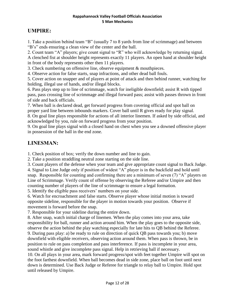#### **UMPIRE:**

1. Take a position behind team "B" (usually 7 to 8 yards from line of scrimmage) and between "B's" ends ensuring a clean view of the center and the ball.

2. Count team "A" players; give count signal to "R" who will acknowledge by returning signal. A clenched fist at shoulder height represents exactly 11 players. An open hand at shoulder height in front of the body represents other then 11 players.

3. Check numbering on offensive line, observe equipment & mouthpieces.

4. Observe action for false starts, snap infractions, and other dead ball fouls.

5. Cover action on snapper and of players at point of attack and then behind runner, watching for holding, illegal use of hands, and/or illegal blocks.

6. Pass plays step up to line of scrimmage, watch for ineligible downfield; assist R with tipped pass, pass crossing line of scrimmage and illegal forward pass; assist with passes thrown in front of side and back officials.

7. When ball is declared dead, get forward progress from covering official and spot ball on proper yard line between inbounds markers. Cover ball until R gives ready for play signal.

8. On goal line plays responsible for actions of all interior linemen. If asked by side official, and acknowledged by you, rule on forward progress from your position.

9. On goal line plays signal with a closed hand on chest when you see a downed offensive player in possession of the ball in the end zone.

## **LINESMAN:**

1. Check position of box; verify the down number and line to gain.

2. Take a position straddling neutral zone starting on the side line.

3. Count players of the defense when your team and give appropriate count signal to Back Judge.

4. Signal to Line Judge only if position of widest "A" player is in the backfield and hold until snap. Responsible for counting and confirming there are a minimum of seven (7) "A" players on Line of Scrimmage. Verify count of offense by observing the Referee and/or Umpire and then counting number of players of the line of scrimmage to ensure a legal formation.

5. Identify the eligible pass receivers' numbers on your side.

6. Watch for encroachment and false starts. Observe player whose initial motion is toward opposite sideline, responsible for the player in motion towards your position. Observe if movement is forward before the snap.

7. Responsible for your sideline during the entire down.

8. After snap, watch initial charge of linemen. When the play comes into your area, take responsibility for ball, runner and action around him. When the play goes to the opposite side, observe the action behind the play watching especially for late hits to QB behind the Referee. 9. During pass play: a) be ready to rule on direction of quick QB pass towards you; b) move downfield with eligible receivers, observing action around them. When pass is thrown, be in position to rule on pass completion and pass interference. If pass is incomplete in your area, sound whistle and give incomplete pass signal. Help in retrieving ball if necessary.

10. On all plays in your area, mark forward progress/spot with feet together Umpire will spot on the foot farthest downfield. When ball becomes dead in side zone, place ball on foot until next down is determined. Use Back Judge or Referee for triangle to relay ball to Umpire. Hold spot until released by Umpire.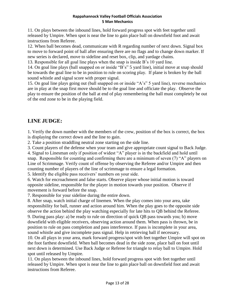11. On plays between the inbound lines, hold forward progress spot with feet together until released by Umpire. When spot is near the line to gain place ball on downfield foot and await instructions from Referee.

12. When ball becomes dead, communicate with R regarding number of next down. Signal box to move to forward point of ball after ensuring there are no flags and to change down marker. If new series is declared, move to sideline and reset box, clip, and yardage chains.

13. Responsible for all goal line plays when the snap is inside B's 10 yard line.

14. On goal line plays (ball snapped on or inside "B's" 5 yard line), initial move at snap should be towards the goal line to be in position to rule on scoring play. If plane is broken by the ball sound whistle and signal score with proper signal.

15. On goal line plays going out (ball snapped on or inside "A's" 5 yard line), reverse mechanics are in play at the snap first move should be to the goal line and officiate the play. Observe the play to ensure the position of the ball at end of play remembering the ball must completely be out of the end zone to be in the playing field.

## **LINE JUDGE:**

1. Verify the down number with the members of the crew, position of the box is correct, the box is displaying the correct down and the line to gain.

2. Take a position straddling neutral zone starting on the side line.

3. Count players of the defense when your team and give appropriate count signal to Back Judge.

4. Signal to Linesman only if position of widest "A" player is in the backfield and hold until snap. Responsible for counting and confirming there are a minimum of seven (7) "A" players on Line of Scrimmage. Verify count of offense by observing the Referee and/or Umpire and then counting number of players of the line of scrimmage to ensure a legal formation.

5. Identify the eligible pass receivers' numbers on your side.

6. Watch for encroachment and false starts. Observe player whose initial motion is toward opposite sideline, responsible for the player in motion towards your position. Observe if movement is forward before the snap.

7. Responsible for your sideline during the entire down.

8. After snap, watch initial charge of linemen. When the play comes into your area, take responsibility for ball, runner and action around him. When the play goes to the opposite side observe the action behind the play watching especially for late hits to QB behind the Referee. 9. During pass play: a) be ready to rule on direction of quick QB pass towards you; b) move downfield with eligible receivers, observing action around them. When pass is thrown, be in position to rule on pass completion and pass interference. If pass is incomplete in your area, sound whistle and give incomplete pass signal. Help in retrieving ball if necessary.

10. On all plays in your area, mark forward progress/spot with feet together Umpire will spot on the foot farthest downfield. When ball becomes dead in the side zone, place ball on foot until next down is determined. Use Back Judge or Referee for triangle to relay ball to Umpire. Hold spot until released by Umpire.

11. On plays between the inbound lines, hold forward progress spot with feet together until released by Umpire. When spot is near the line to gain place ball on downfield foot and await instructions from Referee.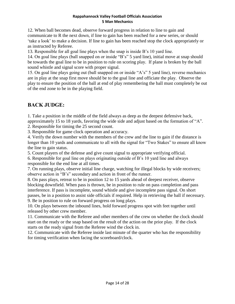12. When ball becomes dead, observe forward progress in relation to line to gain and communicate to R the next down, if line to gain has been reached for a new series, or should 'take a look' to make a decision. If line to gain has been reached stop the clock appropriately or as instructed by Referee.

13. Responsible for all goal line plays when the snap is inside B's 10 yard line.

14. On goal line plays (ball snapped on or inside "B's" 5 yard line), initial move at snap should be towards the goal line to be in position to rule on scoring play. If plane is broken by the ball sound whistle and signal score with proper signal.

15. On goal line plays going out (ball snapped on or inside "A's" 5 yard line), reverse mechanics are in play at the snap first move should be to the goal line and officiate the play. Observe the play to ensure the position of the ball at end of play remembering the ball must completely be out of the end zone to be in the playing field.

## **BACK JUDGE:**

1. Take a position in the middle of the field always as deep as the deepest defensive back, approximately 15 to 18 yards, favoring the wide side and adjust based on the formation of "A".

2. Responsible for timing the 25 second count.

3. Responsible for game clock operation and accuracy.

4. Verify the down number with the members of the crew and the line to gain if the distance is longer than 10 yards and communicate to all with the signal for "Two Stakes" to ensure all know the line to gain status.

5. Count players of the defense and give count signal to appropriate verifying official.

6. Responsible for goal line on plays originating outside of B's 10 yard line and always responsible for the end line at all times.

7. On running plays, observe initial line charge, watching for illegal blocks by wide receivers; observe action in "B's" secondary and action in front of the runner.

8. On pass plays, retreat to be in position 12 to 15 yards ahead of deepest receiver, observe blocking downfield. When pass is thrown, be in position to rule on pass completion and pass interference. If pass is incomplete, sound whistle and give incomplete pass signal. On short passes, be in a position to assist side officials if required. Help in retrieving the ball if necessary. 9. Be in position to rule on forward progress on long plays.

10. On plays between the inbound lines, hold forward progress spot with feet together until released by other crew member.

11. Communicate with the Referee and other members of the crew on whether the clock should start on the ready or the snap based on the result of the action on the prior play. If the clock starts on the ready signal from the Referee wind the clock in.

12. Communicate with the Referee inside last minute of the quarter who has the responsibility for timing verification when facing the scoreboard/clock.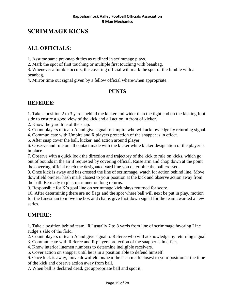# **SCRIMMAGE KICKS**

## **ALL OFFICIALS:**

1. Assume same pre-snap duties as outlined in scrimmage plays.

2. Mark the spot of first touching or multiple first touching with beanbag.

3. Whenever a fumble occurs, the covering official will mark the spot of the fumble with a beanbag.

4. Mirror time out signal given by a fellow official where/when appropriate.

#### **PUNTS**

#### **REFEREE:**

1. Take a position 2 to 3 yards behind the kicker and wider than the tight end on the kicking foot side to ensure a good view of the kick and all action in front of kicker.

2. Know the yard line of the snap.

3. Count players of team A and give signal to Umpire who will acknowledge by returning signal.

4. Communicate with Umpire and R players protection of the snapper is in effect.

5. After snap cover the ball, kicker, and action around player.

6. Observe and rule on all contact made with the kicker while kicker designation of the player is in place.

7. Observe with a quick look the direction and trajectory of the kick to rule on kicks, which go out of bounds in the air if requested by covering official. Raise arm and chop down at the point the covering official reach the designated yard line you determine the ball crossed.

8. Once kick is away and has crossed the line of scrimmage, watch for action behind line. Move downfield on/near hash mark closest to your position at the kick and observe action away from the ball. Be ready to pick up runner on long returns.

9. Responsible for K's goal line on scrimmage kick plays returned for score.

10. After determining there are no flags and the spot where ball will next be put in play, motion for the Linesman to move the box and chains give first down signal for the team awarded a new series.

## **UMPIRE:**

1. Take a position behind team "R" usually 7 to 8 yards from line of scrimmage favoring Line Judge's side of the field.

2. Count players of team A and give signal to Referee who will acknowledge by returning signal.

3. Communicate with Referee and R players protection of the snapper is in effect.

4. Know interior linemen numbers to determine ineligible receivers.

5. Cover action on snapper until he is in a position able to defend himself.

6. Once kick is away, move downfield on/near the hash mark closest to your position at the time of the kick and observe action away from ball.

7. When ball is declared dead, get appropriate ball and spot it.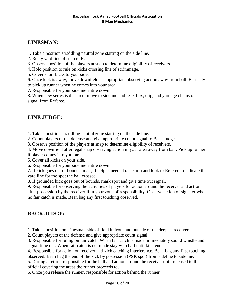#### **LINESMAN:**

1. Take a position straddling neutral zone starting on the side line.

- 2. Relay yard line of snap to R.
- 3. Observe position of the players at snap to determine eligibility of receivers.
- 4. Hold position to rule on kicks crossing line of scrimmage.
- 5. Cover short kicks to your side.

6. Once kick is away, move downfield as appropriate observing action away from ball. Be ready to pick up runner when he comes into your area.

7. Responsible for your sideline entire down.

8. When new series is declared, move to sideline and reset box, clip, and yardage chains on signal from Referee.

#### **LINE JUDGE:**

1. Take a position straddling neutral zone starting on the side line.

2. Count players of the defense and give appropriate count signal to Back Judge.

3. Observe position of the players at snap to determine eligibility of receivers.

4. Move downfield after legal snap observing action in your area away from ball. Pick up runner if player comes into your area.

5. Cover all kicks on your side.

6. Responsible for your sideline entire down.

7. If kick goes out of bounds in air, if help is needed raise arm and look to Referee to indicate the yard line for the spot the ball crossed.

8. If grounded kick goes out of bounds, mark spot and give time out signal.

9. Responsible for observing the activities of players for action around the receiver and action after possession by the receiver if in your zone of responsibility. Observe action of signaler when no fair catch is made. Bean bag any first touching observed.

#### **BACK JUDGE:**

1. Take a position on Linesman side of field in front and outside of the deepest receiver.

2. Count players of the defense and give appropriate count signal.

3. Responsible for ruling on fair catch. When fair catch is made, immediately sound whistle and signal time out. When fair catch is not made stay with ball until kick ends.

4. Responsible for action on receiver and kick catching interference. Bean bag any first touching observed. Bean bag the end of the kick by possession (PSK spot) from sideline to sideline.

5. During a return, responsible for the ball and action around the receiver until released to the official covering the areas the runner proceeds to.

6. Once you release the runner, responsible for action behind the runner.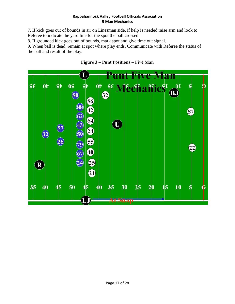7. If kick goes out of bounds in air on Linesman side, if help is needed raise arm and look to Referee to indicate the yard line for the spot the ball crossed.

8. If grounded kick goes out of bounds, mark spot and give time out signal.

9. When ball is dead, remain at spot where play ends. Communicate with Referee the status of the ball and result of the play.



#### **Figure 3 – Punt Positions – Five Man**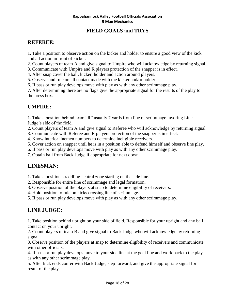#### **FIELD GOALS and TRYS**

#### **REFEREE:**

1. Take a position to observe action on the kicker and holder to ensure a good view of the kick and all action in front of kicker.

2. Count players of team A and give signal to Umpire who will acknowledge by returning signal.

3. Communicate with Umpire and R players protection of the snapper is in effect.

- 4. After snap cover the ball, kicker, holder and action around players.
- 5. Observe and rule on all contact made with the kicker and/or holder.

6. If pass or run play develops move with play as with any other scrimmage play.

7. After determining there are no flags give the appropriate signal for the results of the play to the press box.

#### **UMPIRE:**

1. Take a position behind team "R" usually 7 yards from line of scrimmage favoring Line Judge's side of the field.

2. Count players of team A and give signal to Referee who will acknowledge by returning signal.

3. Communicate with Referee and R players protection of the snapper is in effect.

4. Know interior linemen numbers to determine ineligible receivers.

5. Cover action on snapper until he is in a position able to defend himself and observe line play.

6. If pass or run play develops move with play as with any other scrimmage play.

7. Obtain ball from Back Judge if appropriate for next down.

#### **LINESMAN:**

1. Take a position straddling neutral zone starting on the side line.

2. Responsible for entire line of scrimmage and legal formation.

3. Observe position of the players at snap to determine eligibility of receivers.

4. Hold position to rule on kicks crossing line of scrimmage.

5. If pass or run play develops move with play as with any other scrimmage play.

#### **LINE JUDGE:**

1. Take position behind upright on your side of field. Responsible for your upright and any ball contact on your upright.

2. Count players of team B and give signal to Back Judge who will acknowledge by returning signal.

3. Observe position of the players at snap to determine eligibility of receivers and communicate with other officials.

4. If pass or run play develops move to your side line at the goal line and work back to the play as with any other scrimmage play.

5. After kick ends confer with Back Judge, step forward, and give the appropriate signal for result of the play.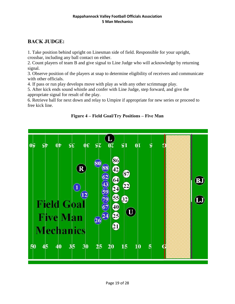## **BACK JUDGE:**

1. Take position behind upright on Linesman side of field. Responsible for your upright, crossbar, including any ball contact on either.

2. Count players of team B and give signal to Line Judge who will acknowledge by returning signal.

3. Observe position of the players at snap to determine eligibility of receivers and communicate with other officials.

4. If pass or run play develops move with play as with any other scrimmage play.

5. After kick ends sound whistle and confer with Line Judge, step forward, and give the appropriate signal for result of the play.

6. Retrieve ball for next down and relay to Umpire if appropriate for new series or proceed to free kick line.



**Figure 4 – Field Goal/Try Positions – Five Man**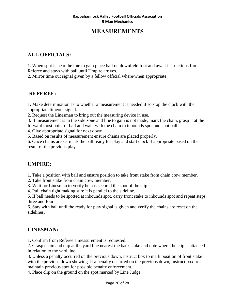# **MEASUREMENTS**

#### **ALL OFFICIALS:**

1. When spot is near the line to gain place ball on downfield foot and await instructions from Referee and stays with ball until Umpire arrives.

2. Mirror time out signal given by a fellow official where/when appropriate.

#### **REFEREE:**

1. Make determination as to whether a measurement is needed if so stop the clock with the appropriate timeout signal.

2. Request the Linesman to bring out the measuring device in use.

3. If measurement is in the side zone and line to gain is not made, mark the chain, grasp it at the forward most point of ball and walk with the chain to inbounds spot and spot ball.

4. Give appropriate signal for next down.

5. Based on results of measurement ensure chains are placed properly.

6. Once chains are set mark the ball ready for play and start clock if appropriate based on the result of the previous play.

#### **UMPIRE:**

1. Take a position with ball and ensure position to take front stake from chain crew member.

2. Take front stake from chain crew member.

3. Wait for Linesman to verify he has secured the spot of the clip.

4. Pull chain tight making sure it is parallel to the sideline.

5. If ball needs to be spotted at inbounds spot, carry front stake to inbounds spot and repeat steps three and four.

6. Stay with ball until the ready for play signal is given and verify the chains are reset on the sidelines.

#### **LINESMAN:**

1. Confirm from Referee a measurement is requested.

2. Grasp chain and clip at the yard line nearest the back stake and note where the clip is attached in relation to the yard line.

3. Unless a penalty occurred on the previous down, instruct box to mark position of front stake with the previous down showing. If a penalty occurred on the previous down, instruct box to maintain previous spot for possible penalty enforcement.

4. Place clip on the ground on the spot marked by Line Judge.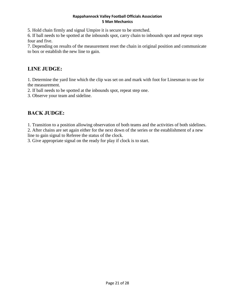5. Hold chain firmly and signal Umpire it is secure to be stretched.

6. If ball needs to be spotted at the inbounds spot, carry chain to inbounds spot and repeat steps four and five.

7. Depending on results of the measurement reset the chain in original position and communicate to box or establish the new line to gain.

#### **LINE JUDGE:**

1. Determine the yard line which the clip was set on and mark with foot for Linesman to use for the measurement.

2. If ball needs to be spotted at the inbounds spot, repeat step one.

3. Observe your team and sideline.

#### **BACK JUDGE:**

1. Transition to a position allowing observation of both teams and the activities of both sidelines.

2. After chains are set again either for the next down of the series or the establishment of a new line to gain signal to Referee the status of the clock.

3. Give appropriate signal on the ready for play if clock is to start.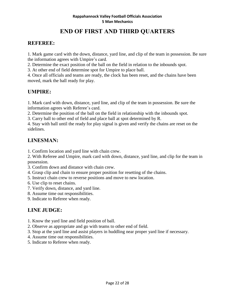# **END OF FIRST AND THIRD QUARTERS**

#### **REFEREE:**

1. Mark game card with the down, distance, yard line, and clip of the team in possession. Be sure the information agrees with Umpire's card.

2. Determine the exact position of the ball on the field in relation to the inbounds spot.

3. At other end of field determine spot for Umpire to place ball.

4. Once all officials and teams are ready, the clock has been reset, and the chains have been moved, mark the ball ready for play.

#### **UMPIRE:**

1. Mark card with down, distance, yard line, and clip of the team in possession. Be sure the information agrees with Referee's card.

2. Determine the position of the ball on the field in relationship with the inbounds spot.

3. Carry ball to other end of field and place ball at spot determined by R.

4. Stay with ball until the ready for play signal is given and verify the chains are reset on the sidelines.

#### **LINESMAN:**

1. Confirm location and yard line with chain crew.

2. With Referee and Umpire, mark card with down, distance, yard line, and clip for the team in possession.

3. Confirm down and distance with chain crew.

4. Grasp clip and chain to ensure proper position for resetting of the chains.

5. Instruct chain crew to reverse positions and move to new location.

- 6. Use clip to reset chains.
- 7. Verify down, distance, and yard line.
- 8. Assume time out responsibilities.
- 9. Indicate to Referee when ready.

#### **LINE JUDGE:**

- 1. Know the yard line and field position of ball.
- 2. Observe as appropriate and go with teams to other end of field.
- 3. Stop at the yard line and assist players in huddling near proper yard line if necessary.
- 4. Assume time out responsibilities.
- 5. Indicate to Referee when ready.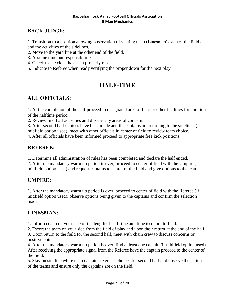#### **BACK JUDGE:**

1. Transition to a position allowing observation of visiting team (Linesman's side of the field) and the activities of the sidelines.

- 2. Move to the yard line at the other end of the field.
- 3. Assume time out responsibilities.
- 4. Check to see clock has been properly reset.
- 5. Indicate to Referee when ready verifying the proper down for the next play.

# **HALF-TIME**

#### **ALL OFFICIALS:**

1. At the completion of the half proceed to designated area of field or other facilities for duration of the halftime period.

2. Review first half activities and discuss any areas of concern.

3. After second half choices have been made and the captains are returning to the sidelines (if midfield option used), meet with other officials in center of field to review team choice. 4. After all officials have been informed proceed to appropriate free kick positions.

#### **REFEREE:**

1. Determine all administration of rules has been completed and declare the half ended.

2. After the mandatory warm up period is over, proceed to center of field with the Umpire (if midfield option used) and request captains to center of the field and give options to the teams.

#### **UMPIRE:**

1. After the mandatory warm up period is over, proceed to center of field with the Referee (if midfield option used), observe options being given to the captains and confirm the selection made.

#### **LINESMAN:**

1. Inform coach on your side of the length of half time and time to return to field.

2. Escort the team on your side from the field of play and upon their return at the end of the half.

3. Upon return to the field for the second half, meet with chain crew to discuss concerns or positive points.

4. After the mandatory warm up period is over, find at least one captain (if midfield option used). After receiving the appropriate signal from the Referee have the captain proceed to the center of the field.

5. Stay on sideline while team captains exercise choices for second half and observe the actions of the teams and ensure only the captains are on the field.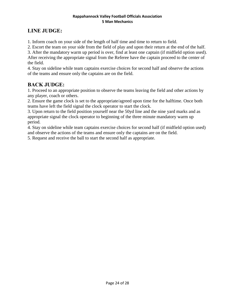# **LINE JUDGE:**

1. Inform coach on your side of the length of half time and time to return to field.

2. Escort the team on your side from the field of play and upon their return at the end of the half.

3. After the mandatory warm up period is over, find at least one captain (if midfield option used). After receiving the appropriate signal from the Referee have the captain proceed to the center of the field.

4. Stay on sideline while team captains exercise choices for second half and observe the actions of the teams and ensure only the captains are on the field.

## **BACK JUDGE:**

1. Proceed to an appropriate position to observe the teams leaving the field and other actions by any player, coach or others.

2. Ensure the game clock is set to the appropriate/agreed upon time for the halftime. Once both teams have left the field signal the clock operator to start the clock.

3. Upon return to the field position yourself near the 50yd line and the nine yard marks and as appropriate signal the clock operator to beginning of the three minute mandatory warm up period.

4. Stay on sideline while team captains exercise choices for second half (if midfield option used) and observe the actions of the teams and ensure only the captains are on the field.

5. Request and receive the ball to start the second half as appropriate.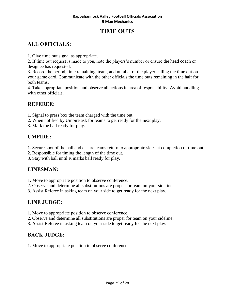# **TIME OUTS**

# **ALL OFFICIALS:**

1. Give time out signal as appropriate.

2. If time out request is made to you, note the players's number or ensure the head coach or designee has requested.

3. Record the period, time remaining, team, and number of the player calling the time out on your game card. Communicate with the other officials the time outs remaining in the half for both teams.

4. Take appropriate position and observe all actions in area of responsibility. Avoid huddling with other officials.

## **REFEREE:**

1. Signal to press box the team charged with the time out.

- 2. When notified by Umpire ask for teams to get ready for the next play.
- 3. Mark the ball ready for play.

## **UMPIRE:**

- 1. Secure spot of the ball and ensure teams return to appropriate sides at completion of time out.
- 2. Responsible for timing the length of the time out.
- 3. Stay with ball until R marks ball ready for play.

## **LINESMAN:**

- 1. Move to appropriate position to observe conference.
- 2. Observe and determine all substitutions are proper for team on your sideline.
- 3. Assist Referee in asking team on your side to get ready for the next play.

# **LINE JUDGE:**

- 1. Move to appropriate position to observe conference.
- 2. Observe and determine all substitutions are proper for team on your sideline.
- 3. Assist Referee in asking team on your side to get ready for the next play.

#### **BACK JUDGE:**

1. Move to appropriate position to observe conference.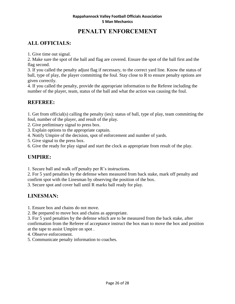# **PENALTY ENFORCEMENT**

## **ALL OFFICIALS:**

1. Give time out signal.

2. Make sure the spot of the ball and flag are covered. Ensure the spot of the ball first and the flag second.

3. If you called the penalty adjust flag if necessary, to the correct yard line. Know the status of ball, type of play, the player committing the foul. Stay close to R to ensure penalty options are given correctly.

4. If you called the penalty, provide the appropriate information to the Referee including the number of the player, team, status of the ball and what the action was causing the foul.

#### **REFEREE:**

1. Get from official(s) calling the penalty (ies): status of ball, type of play, team committing the foul, number of the player, and result of the play.

2. Give preliminary signal to press box.

3. Explain options to the appropriate captain.

4. Notify Umpire of the decision, spot of enforcement and number of yards.

5. Give signal to the press box.

6. Give the ready for play signal and start the clock as appropriate from result of the play.

#### **UMPIRE:**

1. Secure ball and walk off penalty per R's instructions.

2. For 5 yard penalties by the defense when measured from back stake, mark off penalty and confirm spot with the Linesman by observing the position of the box.

3. Secure spot and cover ball until R marks ball ready for play.

# **LINESMAN:**

1. Ensure box and chains do not move.

2. Be prepared to move box and chains as appropriate.

3. For 5 yard penalties by the defense which are to be measured from the back stake, after confirmation from the Referee of acceptance instruct the box man to move the box and position at the tape to assist Umpire on spot .

4. Observe enforcement.

5. Communicate penalty information to coaches.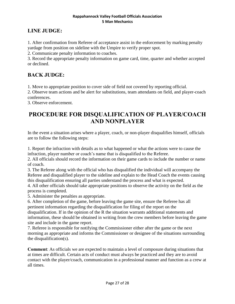## **LINE JUDGE:**

1. After confirmation from Referee of acceptance assist in the enforcement by marking penalty yardage from position on sideline with the Umpire to verify proper spot.

2. Communicate penalty information to coaches.

3. Record the appropriate penalty information on game card, time, quarter and whether accepted or declined.

#### **BACK JUDGE:**

1. Move to appropriate position to cover side of field not covered by reporting official.

2. Observe team actions and be alert for substitutions, team attendants on field, and player-coach conferences.

3. Observe enforcement.

# **PROCEDURE FOR DISQUALIFICATION OF PLAYER/COACH AND NONPLAYER**

In the event a situation arises where a player, coach, or non-player disqualifies himself, officials are to follow the following steps:

1. Report the infraction with details as to what happened or what the actions were to cause the infraction, player number or coach's name that is disqualified to the Referee.

2. All officials should record the information on their game cards to include the number or name of coach.

3. The Referee along with the official who has disqualified the individual will accompany the Referee and disqualified player to the sideline and explain to the Head Coach the events causing this disqualification ensuring all parties understand the process and what is expected.

4. All other officials should take appropriate positions to observe the activity on the field as the process is completed.

5. Administer the penalties as appropriate.

6. After completion of the game, before leaving the game site, ensure the Referee has all pertinent information regarding the disqualification for filing of the report on the disqualification. If in the opinion of the R the situation warrants additional statements and information, these should be obtained in writing from the crew members before leaving the game site and include in the game report.

7. Referee is responsible for notifying the Commissioner either after the game or the next morning as appropriate and informs the Commissioner or designee of the situations surrounding the disqualification(s).

**Comment**: As officials we are expected to maintain a level of composure during situations that at times are difficult. Certain acts of conduct must always be practiced and they are to avoid contact with the player/coach, communication in a professional manner and function as a crew at all times.